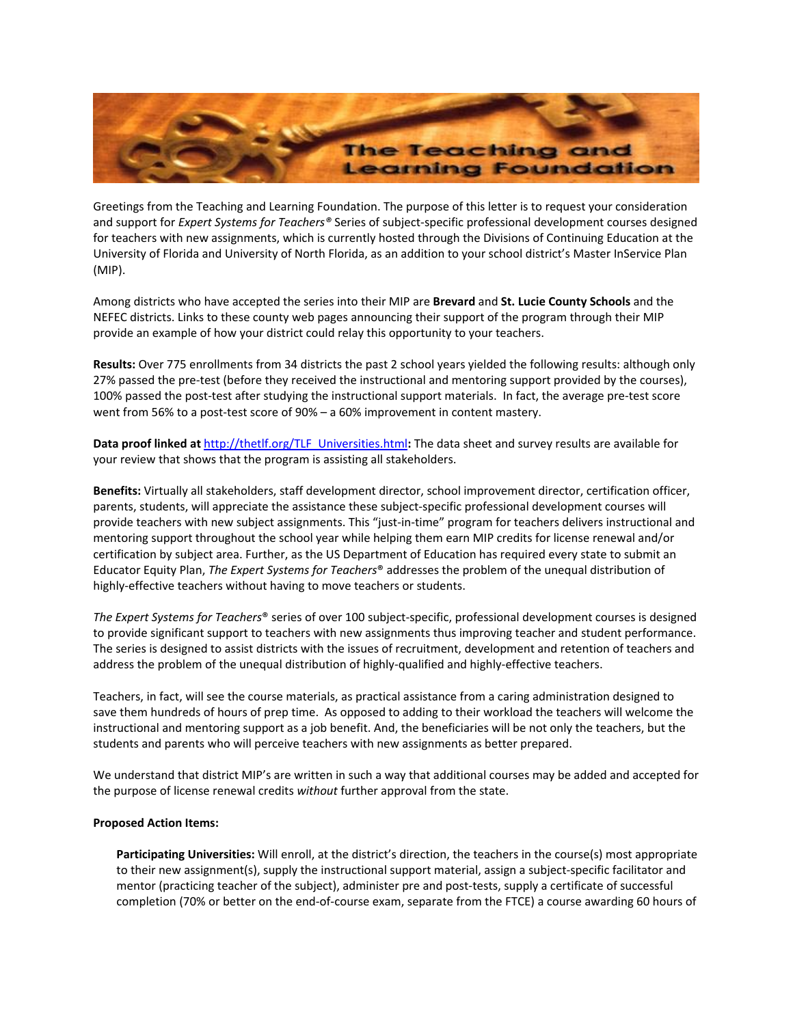

Greetings from the Teaching and Learning Foundation. The purpose of this letter is to request your consideration and support for *Expert Systems for Teachers®* Series of subject-specific professional development courses designed for teachers with new assignments, which is currently hosted through the Divisions of Continuing Education at the University of Florida and University of North Florida, as an addition to your school district's Master InService Plan (MIP).

Among districts who have accepted the series into their MIP are **Brevard** and **St. Lucie County Schools** and the NEFEC districts. Links to these county web pages announcing their support of the program through their MIP provide an example of how your district could relay this opportunity to your teachers.

**Results:** Over 775 enrollments from 34 districts the past 2 school years yielded the following results: although only 27% passed the pre-test (before they received the instructional and mentoring support provided by the courses), 100% passed the post-test after studying the instructional support materials. In fact, the average pre-test score went from 56% to a post-test score of 90% – a 60% improvement in content mastery.

**Data proof linked at** http://thetlf.org/TLF\_Universities.html**:** The data sheet and survey results are available for your review that shows that the program is assisting all stakeholders.

**Benefits:** Virtually all stakeholders, staff development director, school improvement director, certification officer, parents, students, will appreciate the assistance these subject-specific professional development courses will provide teachers with new subject assignments. This "just-in-time" program for teachers delivers instructional and mentoring support throughout the school year while helping them earn MIP credits for license renewal and/or certification by subject area. Further, as the US Department of Education has required every state to submit an Educator Equity Plan, *The Expert Systems for Teachers*® addresses the problem of the unequal distribution of highly-effective teachers without having to move teachers or students.

*The Expert Systems for Teachers*® series of over 100 subject-specific, professional development courses is designed to provide significant support to teachers with new assignments thus improving teacher and student performance. The series is designed to assist districts with the issues of recruitment, development and retention of teachers and address the problem of the unequal distribution of highly-qualified and highly-effective teachers.

Teachers, in fact, will see the course materials, as practical assistance from a caring administration designed to save them hundreds of hours of prep time. As opposed to adding to their workload the teachers will welcome the instructional and mentoring support as a job benefit. And, the beneficiaries will be not only the teachers, but the students and parents who will perceive teachers with new assignments as better prepared.

We understand that district MIP's are written in such a way that additional courses may be added and accepted for the purpose of license renewal credits *without* further approval from the state.

## **Proposed Action Items:**

**Participating Universities:** Will enroll, at the district's direction, the teachers in the course(s) most appropriate to their new assignment(s), supply the instructional support material, assign a subject-specific facilitator and mentor (practicing teacher of the subject), administer pre and post-tests, supply a certificate of successful completion (70% or better on the end-of-course exam, separate from the FTCE) a course awarding 60 hours of